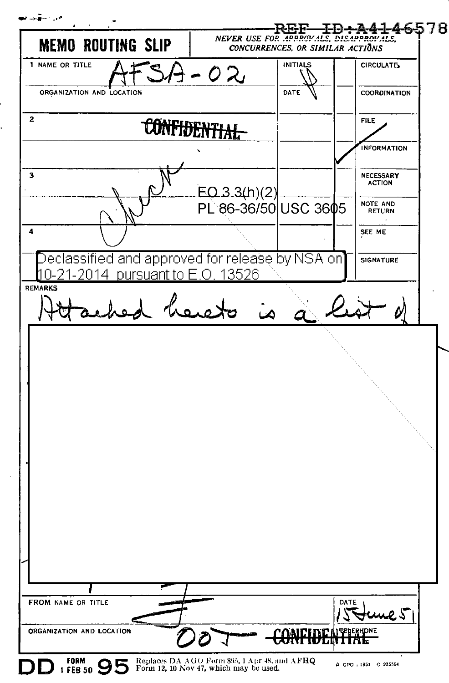س سهده NEVER USE FOR APPROVALS, DISAPPROVALS, **MEMO ROUTING SLIP** CONCURRENCES, OR SIMILAR ACTIONS 1 NAME OR TITLE CIRCULATES **INITIALS** -02 ORGANIZATION AND LOCATION DATE COORDINATION  $\mathbf{2}$ **CONFIDENTIAL FILE INFORMATION**  $\overline{\mathbf{3}}$ NECESSARY **ACTION**  $EO 3.3(h)(2)$ PL 86-36/50 USC 3605 **NOTE AND RETHRN**  $\overline{a}$ SEE ME Declassified and approved for release by NSA on] **SIGNATURE** -21-2014 pursuant to E.O. 13526 nΩ REMARKS ad of **FROM NAME OR TITLE DATE** me 51 ORGANIZATION AND LOCATION **FORM** 95 Replaces DA AGO Form 895, 1 Apr 48, and AFHQ<br>Form 12, 10 Nov 47, which may be used. ☆ GPO: 1951 - O 925564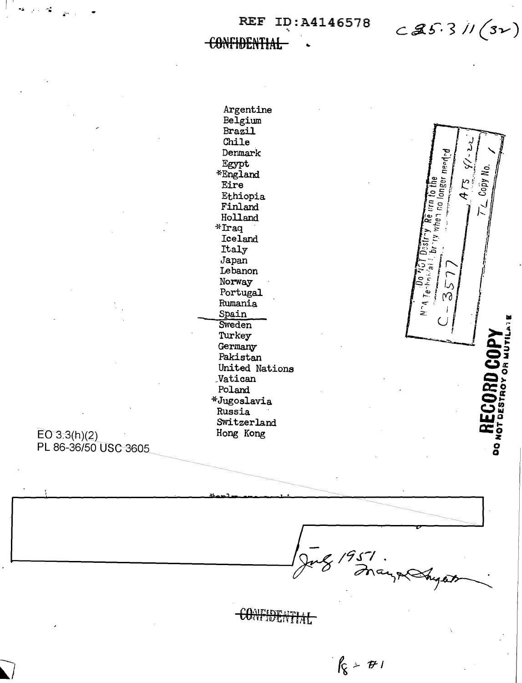REF ID: A4146578

 $C25.31/(31)$ 

when neghol on the Ma

Re um to the

∩JS[L

 $N^A$   $Ie^{-kH_1/2}$ 

È

ځ

 $\mathbb{L}$ 

ما

 $\infty$ 

Copy No.

RD COP

DESTROY OR MUTI

**DO NOT** 

ATS

**CONFIDENTIAL** 

Argentine Belgium

Brazil Chile Denmark Egypt \*England Eire Ethiopia Finland Holland  $*$ Iraq Iceland Italy Japan Lebanon Norway Portugal Rumania Spain Sweden Turkey Germany Pakistan United Nations Vatican Poland \*Jugoslavia Russia Switzerland Hong Kong

 $EO 3.3(h)(2)$ PL 86-36/50 USC 3605

CONTIDENTIAL

g 1951.<br>8 France Sugar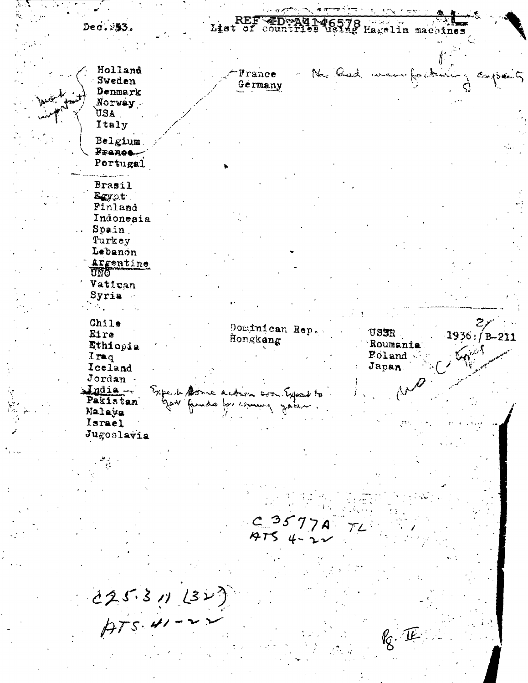ي بره از دار<del>د کار کار دارد که</del> مجاهر ويستعيده List of countries using Hagelin machines Dec. 353. Holland No. Cash was for it France  $\sim$  Casts Sweden Germany Denmark Norway: AEU Italy Belgium Pranee-Portugal Brasil Egypt. Pinland Indonesia Spain Turkey Lebanon Argentine UNQ Vatican Syria. Chile pominican Rep. USER Eire  $1936: / B - 211$ Hongkang Ethiopia Roumania Poland. Iraq Iceland Japan. Jordan ۸ŕ India-Expert Donne action con Expent to Pakistan s for commy year Malaya Israel Jugoslavia  $C3577A$  $7754-22$  $225311222)$  $k_{\mathcal{S}}$ . IE